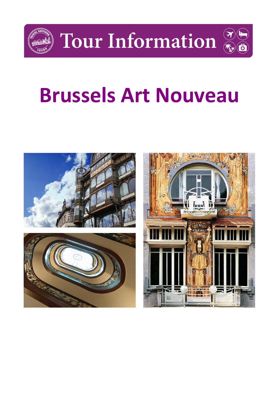

**Tour Information** 

# **Brussels Art Nouveau**

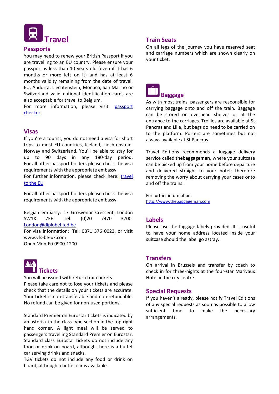

#### **Passports**

You may need to renew your British Passport if you are travelling to an EU country. Please ensure your passport is less than 10 years old (even if it has 6 months or more left on it) and has at least 6 months validity remaining from the date of travel. EU, Andorra, Liechtenstein, Monaco, San Marino or Switzerland valid national identification cards are also acceptable for travel to Belgium.

For more information, please visit: passport [checker.](https://www.gov.uk/visit-europe-1-january-2021?utm_medium=uktrav-partner&utm_source=social&utm_campaign=transition&utm_content=AITO)

#### **Visas**

If you're a tourist, you do not need a visa for short trips to most EU countries, Iceland, Liechtenstein, Norway and Switzerland. You'll be able to stay for up to 90 days in any 180-day period. For all other passport holders please check the visa requirements with the appropriate embassy.

For further information, please check here: travel [to the EU](https://www.gov.uk/visit-europe-1-january-2021?utm_medium=uktrav-partner&utm_source=social&utm_campaign=transition&utm_content=AITO)

For all other passport holders please check the visa requirements with the appropriate embassy.

Belgian embassy: 17 Grosvenor Crescent, London SW1X 7EE. Tel: (0)20 7470 3700. [London@diplobel.fed.be](mailto:London@diplobel.fed.be)

For visa information: Tel: 0871 376 0023, or visit [www.vfs-be-uk.com](http://www.vfs-be-uk.com/)

Open Mon-Fri 0900-1200.



You will be issued with return train tickets. Please take care not to lose your tickets and please check that the details on your tickets are accurate. Your ticket is non-transferable and non-refundable. No refund can be given for non-used portions.

Standard Premier on Eurostar tickets is indicated by an asterisk in the class type section in the top right hand corner. A light meal will be served to passengers travelling Standard Premier on Eurostar. Standard class Eurostar tickets do not include any food or drink on board, although there is a buffet car serving drinks and snacks.

TGV tickets do not include any food or drink on board, although a buffet car is available.

#### **Train Seats**

On all legs of the journey you have reserved seat and carriage numbers which are shown clearly on your ticket.



As with most trains, passengers are responsible for carrying baggage onto and off the train. Baggage can be stored on overhead shelves or at the entrance to the carriages. Trollies are available at St Pancras and Lille, but bags do need to be carried on to the platform. Porters are sometimes but not always available at St Pancras.

Travel Editions recommends a luggage delivery service called **thebaggageman**, where your suitcase can be picked up from your home before departure and delivered straight to your hotel; therefore removing the worry about carrying your cases onto and off the trains.

For further information: [http://www.thebaggageman.com](http://www.thebaggageman.com/)

#### **Labels**

Please use the luggage labels provided. It is useful to have your home address located inside your suitcase should the label go astray.

#### **Transfers**

On arrival in Brussels and transfer by coach to check in for three-nights at the four-star Marivaux Hotel in the city centre.

#### **Special Requests**

If you haven't already, please notify Travel Editions of any special requests as soon as possible to allow sufficient time to make the necessary arrangements.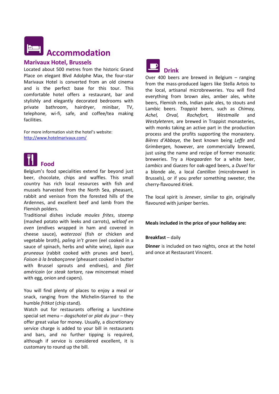# **Accommodation**

#### **Marivaux Hotel, Brussels**

Located about 500 metres from the historic Grand Place on elegant Blvd Adolphe Max, the four-star Marivaux Hotel is converted from an old cinema and is the perfect base for this tour. This comfortable hotel offers a restaurant, bar and stylishly and elegantly decorated bedrooms with private bathroom, hairdryer, minibar, TV, telephone, wi-fi, safe, and coffee/tea making facilities.

For more information visit the hotel's website: <http://www.hotelmarivaux.com/>



Belgium's food specialities extend far beyond just beer, chocolate, chips and waffles. This small country has rich local resources with fish and mussels harvested from the North Sea, pheasant, rabbit and venison from the forested hills of the Ardennes, and excellent beef and lamb from the Flemish polders.

Traditional dishes include *moules frites*, s*toemp*  (mashed potato with leeks and carrots), *witloof en oven* (endives wrapped in ham and covered in cheese sauce), *waterzooi* (fish or chicken and vegetable broth), *paling in't groen* (eel cooked in a sauce of spinach, herbs and white wine), *lapin aux pruneaux* (rabbit cooked with prunes and beer), *Faison à la brabançonne* (pheasant cooked in butter with Brussel sprouts and endives), and *filet américain* (or *steak tartare,* raw mincemeat mixed with egg, onion and capers).

You will find plenty of places to enjoy a meal or snack, ranging from the Michelin-Starred to the humble *fritkot* (chip stand).

Watch out for restaurants offering a lunchtime special set menu – *dagschotel* or *plat du* jour – they offer great value for money. Usually, a discretionary service charge is added to your bill in restaurants and bars, and no further tipping is required, although if service is considered excellent, it is customary to round up the bill.



Over 400 beers are brewed in Belgium – ranging from the mass-produced lagers like Stella Artois to the local, artisanal microbreweries. You will find everything from brown ales, amber ales, white beers, Flemish reds, Indian pale ales, to stouts and Lambic beers. *Trappist* beers, such as *Chimay, Achel, Orval, Rochefort, Westmalle* and *Westyleteren*, are brewed in Trappist monasteries, with monks taking an active part in the production process and the profits supporting the monastery. *Bières d'Abbaye,* the best known being *Leffe* and G*rimbergen,* however, are commercially brewed, just using the name and recipe of former monastic breweries. Try a *Hoegaarden* for a white beer, *Lambics* and *Guezes* for oak-aged beers, a *Duvel* for a blonde ale, a local *Cantillon* (microbrewed in Brussels), or if you prefer something sweeter, the cherry-flavoured *Kriek*.

The local spirit is *Jenever*, similar to gin, originally flavoured with juniper berries.

#### **Meals included in the price of your holiday are:**

#### **Breakfast** – daily

**Dinner** is included on two nights, once at the hotel and once at Restaurant Vincent.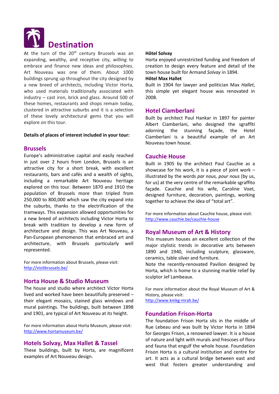

At the turn of the  $20<sup>th</sup>$  century Brussels was an expanding, wealthy, and receptive city, willing to embrace and finance new ideas and philosophies. Art Nouveau was one of them. About 1000 buildings sprung up throughout the city designed by a new breed of architects, including Victor Horta, who used materials traditionally associated with industry – cast iron, brick and glass. Around 500 of these homes, restaurants and shops remain today, clustered in attractive suburbs and it is a selection of these lovely architectural gems that you will explore on this tour.

#### **Details of places of interest included in your tour:**

#### **Brussels**

Europe's administrative capital and easily reached in just over 2 hours from London, Brussels is an attractive city for a short break, with excellent restaurants, bars and cafés and a wealth of sights, including a remarkable Art Nouveau heritage explored on this tour. Between 1870 and 1910 the population of Brussels more than tripled from 250,000 to 800,000 which saw the city expand into the suburbs, thanks to the electrification of the tramways. This expansion allowed opportunities for a new breed of architects including Victor Horta to break with tradition to develop a new form of architecture and design. This was Art Nouveau, a Pan-European phenomenon that embraced art and architecture, with Brussels particularly well represented.

For more information about Brussels, please visit: <http://visitbrussels.be/>

#### **Horta House & Studio Museum**

The house and studio where architect Victor Horta lived and worked have been beautifully preserved – their elegant mosaics, stained glass windows and mural paintings. The buildings, built between 1898 and 1901, are typical of Art Nouveau at its height.

For more information about Horta Museum, please visit: <http://www.hortamuseum.be/>

#### **Hotels Solvay, Max Hallet & Tassel**

These buildings, built by Horta, are magnificent examples of Art Nouveau design.

#### **Hôtel Solvay**

Horta enjoyed unrestricted funding and freedom of creation to design every feature and detail of the town house built for Armand *Solvay* in 1894.

#### **Hôtel Max Hallet**

Built in 1904 for lawyer and politician Max *Hallet*, this simple yet elegant house was renovated in 2008.

#### **Hotel Ciamberlani**

Built by architect Paul Hankar in 1897 for painter Albert Ciamberlani, who designed the sgraffiti adorning the stunning façade, the Hotel Ciamberlani is a beautiful example of an Art Nouveau town house.

#### **Cauchie House**

Built in 1905 by the architect Paul Cauchie as a showcase for his work, it is a piece of joint work – illustrated by the words *par nous, pour nous* (by us, for us) at the very centre of the remarkable sgraffito façade. Cauchie and his wife, Caroline Voet, designed furniture, decoration, paintings, working together to achieve the idea of "total art".

For more information about Cauchie house, please visit: <http://www.cauchie.be/cauchie-house>

#### **Royal Museum of Art & History**

This museum houses an excellent collection of the major stylistic trends in decorative arts between 1890 and 1940, including sculpture, glassware, ceramics, table silver and furniture.

Note the recently-renovated Pavilion designed by Horta, which is home to a stunning marble relief by sculptor Jef Lambeaux.

For more information about the Royal Museum of Art & History, please visit: <http://www.kmkg-mrah.be/>

#### **Foundation Frison-Horta**

The foundation Frison Horta sits in the middle of Rue Lebeau and was built by Victor Horta in 1894 for Georges Frison, a renowned lawyer. It is a house of nature and light with murals and frescoes of flora and fauna that engulf the whole house. Foundation Frison Horta is a cultural institution and centre for art. It acts as a cultural bridge between east and west that fosters greater understanding and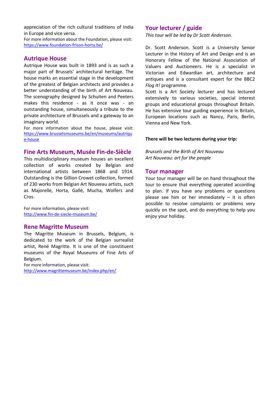appreciation of the rich cultural traditions of India in Europe and vice versa.

For more information about the Foundation, please visit: <https://www.foundation-frison-horta.be/>

#### **Autrique House**

Autrique House was built in 1893 and is as such a major part of Brussels' architectural heritage. The house marks an essential stage in the development of the greatest of Belgian architects and provides a better understanding of the birth of Art Nouveau. The scenography designed by Schuiten and Peeters makes this residence - as it once was - an outstanding house, simultaneously a tribute to the private architecture of Brussels and a gateway to an imaginary world.

For more information about the house, please visit: [https://www.brusselsmuseums.be/en/museums/autriqu](https://www.brusselsmuseums.be/en/museums/autrique-house) [e-house](https://www.brusselsmuseums.be/en/museums/autrique-house)

#### **Fine Arts Museum, Musée Fin-de-Siècle**

This multidisciplinary museum houses an excellent collection of works created by Belgian and international artists between 1868 and 1914. Outstanding is the Gillion Crowet collection, formed of 230 works from Belgian Art Nouveau artists, such as Majorelle, Horta, Gallé, Mucha, Wolfers and Cros.

For more information, please visit: <http://www.fin-de-siecle-museum.be/>

#### **Rene Magritte Museum**

The Magritte Museum in Brussels, Belgium, is dedicated to the work of the Belgian surrealist artist, René Magritte. It is one of the constituent museums of the Royal Museums of Fine Arts of Belgium.

For more information, please visit: <http://www.magrittemuseum.be/index.php/en/>

#### **Your lecturer / guide**

*This tour will be led by Dr Scott Anderson.*

Dr. Scott Anderson. Scott is a University Senior Lecturer in the History of Art and Design and is an Honorary Fellow of the National Association of Valuers and Auctioneers. He is a specialist in Victorian and Edwardian art, architecture and antiques and is a consultant expert for the BBC2 *Flog It!* programme.

Scott is a Art Society lecturer and has lectured extensively to various societies, special interest groups and educational groups throughout Britain. He has extensive tour guiding experience in Britain, European locations such as Nancy, Paris, Berlin, Vienna and New York.

#### **There will be two lectures during your trip:**

*Brussels and the Birth of Art Nouveau Art Nouveau: art for the people*

#### **Tour manager**

Your tour manager will be on hand throughout the tour to ensure that everything operated according to plan. If you have any problems or questions please see him or her immediately  $-$  it is often possible to resolve complaints or problems very quickly on the spot, and do everything to help you enjoy your holiday.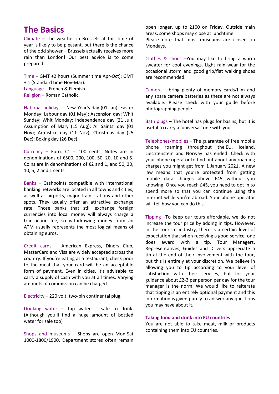## **The Basics**

Climate – The weather in Brussels at this time of year is likely to be pleasant, but there is the chance of the odd shower – Brussels actually receives more rain than London! Our best advice is to come prepared.

Time – GMT +2 hours (Summer time Apr-Oct); GMT + 1 (Standard time Nov-Mar). Language – French & Flemish. Religion – Roman Catholic.

National holidays – New Year's day (01 Jan); Easter Monday; Labour day (01 May); Ascension day; Whit Sunday; Whit Monday; Independence day (21 Jul); Assumption of Mary (15 Aug); All Saints' day (01 Nov); Armistice day (11 Nov); Christmas day (25 Dec); Boxing day (26 Dec).

Currency – Euro.  $\epsilon$ 1 = 100 cents. Notes are in denominations of €500, 200, 100, 50, 20, 10 and 5. Coins are in denominations of €2 and 1, and 50, 20, 10, 5, 2 and 1 cents.

Banks – Cashpoints compatible with international banking networks are located in all towns and cities, as well as airports, major train stations and other spots. They usually offer an attractive exchange rate. Those banks that still exchange foreign currencies into local money will always charge a transaction fee, so withdrawing money from an ATM usually represents the most logical means of obtaining euros.

Credit cards – American Express, Diners Club, MasterCard and Visa are widely accepted across the country. If you're eating at a restaurant, check prior to the meal that your card will be an acceptable form of payment. Even in cities, it's advisable to carry a supply of cash with you at all times. Varying amounts of commission can be charged.

Electricity – 220 volt, two-pin continental plug.

Drinking water – Tap water is safe to drink. (Although you'll find a huge amount of bottled water for sale too)

Shops and museums – Shops are open Mon-Sat 1000-1800/1900. Department stores often remain open longer, up to 2100 on Friday. Outside main areas, some shops may close at lunchtime. Please note that most museums are closed on

Mondays.

Clothes & shoes –You may like to bring a warm sweater for cool evenings. Light rain wear for the occasional storm and good grip/flat walking shoes are recommended.

Camera – bring plenty of memory cards/film and any spare camera batteries as these are not always available. Please check with your guide before photographing people.

Bath plugs – The hotel has plugs for basins, but it is useful to carry a 'universal' one with you.

Telephones/mobiles – The guarantee of free mobile phone roaming throughout the EU, Iceland, Liechtenstein and Norway has ended. Check with your phone operator to find out about any roaming charges you might get from 1 January 2021. A new law means that you're protected from getting mobile data charges above £45 without you knowing. Once you reach £45, you need to opt in to spend more so that you can continue using the internet while you're abroad. Your phone operator will tell how you can do this.

Tipping –To keep our tours affordable, we do not increase the tour price by adding in tips. However, in the tourism industry, there is a certain level of expectation that when receiving a good service, one does award with a tip. Tour Managers, Representatives, Guides and Drivers appreciate a tip at the end of their involvement with the tour, but this is entirely at your discretion. We believe in allowing you to tip according to your level of satisfaction with their services, but for your guidance about £2-3 per person per day for the tour manager is the norm. We would like to reiterate that tipping is an entirely optional payment and this information is given purely to answer any questions you may have about it.

#### **Taking food and drink into EU countries**

You are not able to take meat, milk or products containing them into EU countries.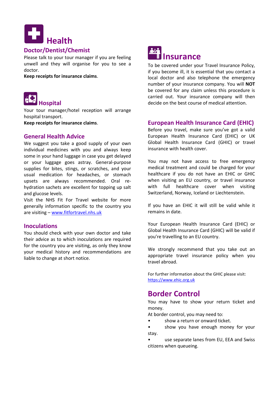

#### **Doctor/Dentist/Chemist**

Please talk to your tour manager if you are feeling unwell and they will organise for you to see a doctor.

**Keep receipts for insurance claims**.



Your tour manager/hotel reception will arrange hospital transport.

**Keep receipts for insurance claims**.

#### **General Health Advice**

We suggest you take a good supply of your own individual medicines with you and always keep some in your hand luggage in case you get delayed or your luggage goes astray. General-purpose supplies for bites, stings, or scratches, and your usual medication for headaches, or stomach upsets are always recommended. Oral rehydration sachets are excellent for topping up salt and glucose levels.

Visit the NHS Fit For Travel website for more generally information specific to the country you are visiting – [www.fitfortravel.nhs.uk](http://www.fitfortravel.nhs.uk/)

#### **Inoculations**

You should check with your own doctor and take their advice as to which inoculations are required for the country you are visiting, as only they know your medical history and recommendations are liable to change at short notice.



To be covered under your Travel Insurance Policy, if you become ill, it is essential that you contact a local doctor and also telephone the emergency number of your insurance company. You will **NOT** be covered for any claim unless this procedure is carried out. Your insurance company will then decide on the best course of medical attention.

#### **European Health Insurance Card (EHIC)**

Before you travel, make sure you've got a valid European Health Insurance Card (EHIC) or UK Global Health Insurance Card (GHIC) or travel insurance with health cover.

You may not have access to free emergency medical treatment and could be charged for your healthcare if you do not have an EHIC or GHIC when visiting an EU country, or travel insurance with full healthcare cover when visiting Switzerland, Norway, Iceland or Liechtenstein.

If you have an EHIC it will still be valid while it remains in date.

Your European Health Insurance Card (EHIC) or Global Health Insurance Card (GHIC) will be valid if you're travelling to an EU country.

We strongly recommend that you take out an appropriate travel insurance policy when you travel abroad.

For further information about the GHIC please visit: [https://www.ehic.org.uk](https://www.ehic.org.uk/)

### **Border Control**

You may have to show your return ticket and money.

At border control, you may need to:

- show a return or onward ticket.
- show you have enough money for your stay.
- use separate lanes from EU, EEA and Swiss citizens when queueing.